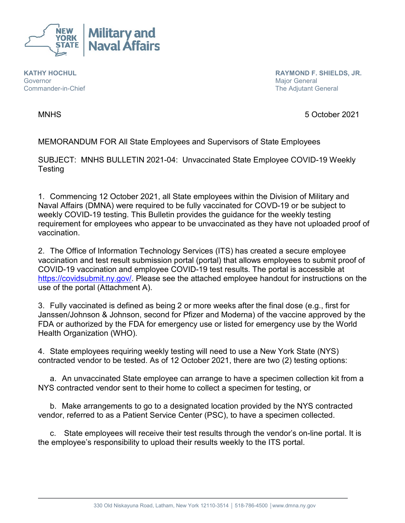

**KATHY HOCHUL Governor** Commander-in-Chief  **RAYMOND F. SHIELDS, JR.** Major General The Adjutant General

MNHS 5 October 2021

MEMORANDUM FOR All State Employees and Supervisors of State Employees

SUBJECT: MNHS BULLETIN 2021-04: Unvaccinated State Employee COVID-19 Weekly **Testing** 

1. Commencing 12 October 2021, all State employees within the Division of Military and Naval Affairs (DMNA) were required to be fully vaccinated for COVD-19 or be subject to weekly COVID-19 testing. This Bulletin provides the guidance for the weekly testing requirement for employees who appear to be unvaccinated as they have not uploaded proof of vaccination.

2. The Office of Information Technology Services (ITS) has created a secure employee vaccination and test result submission portal (portal) that allows employees to submit proof of COVID-19 vaccination and employee COVID-19 test results. The portal is accessible at [https://covidsubmit.ny.gov/.](https://covidsubmit.ny.gov/) Please see the attached employee handout for instructions on the use of the portal (Attachment A).

3. Fully vaccinated is defined as being 2 or more weeks after the final dose (e.g., first for Janssen/Johnson & Johnson, second for Pfizer and Moderna) of the vaccine approved by the FDA or authorized by the FDA for emergency use or listed for emergency use by the World Health Organization (WHO).

4. State employees requiring weekly testing will need to use a New York State (NYS) contracted vendor to be tested. As of 12 October 2021, there are two (2) testing options:

a. An unvaccinated State employee can arrange to have a specimen collection kit from a NYS contracted vendor sent to their home to collect a specimen for testing, or

b. Make arrangements to go to a designated location provided by the NYS contracted vendor, referred to as a Patient Service Center (PSC), to have a specimen collected.

c. State employees will receive their test results through the vendor's on-line portal. It is the employee's responsibility to upload their results weekly to the ITS portal.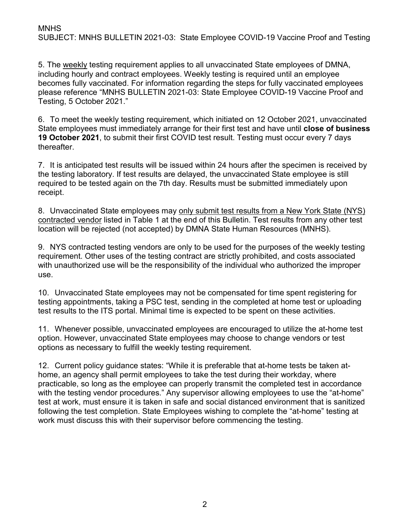5. The weekly testing requirement applies to all unvaccinated State employees of DMNA, including hourly and contract employees. Weekly testing is required until an employee becomes fully vaccinated. For information regarding the steps for fully vaccinated employees please reference "MNHS BULLETIN 2021-03: State Employee COVID-19 Vaccine Proof and Testing, 5 October 2021."

6. To meet the weekly testing requirement, which initiated on 12 October 2021, unvaccinated State employees must immediately arrange for their first test and have until **close of business 19 October 2021**, to submit their first COVID test result. Testing must occur every 7 days thereafter.

7. It is anticipated test results will be issued within 24 hours after the specimen is received by the testing laboratory. If test results are delayed, the unvaccinated State employee is still required to be tested again on the 7th day. Results must be submitted immediately upon receipt.

8. Unvaccinated State employees may only submit test results from a New York State (NYS) contracted vendor listed in Table 1 at the end of this Bulletin. Test results from any other test location will be rejected (not accepted) by DMNA State Human Resources (MNHS).

9. NYS contracted testing vendors are only to be used for the purposes of the weekly testing requirement. Other uses of the testing contract are strictly prohibited, and costs associated with unauthorized use will be the responsibility of the individual who authorized the improper use.

10. Unvaccinated State employees may not be compensated for time spent registering for testing appointments, taking a PSC test, sending in the completed at home test or uploading test results to the ITS portal. Minimal time is expected to be spent on these activities.

11. Whenever possible, unvaccinated employees are encouraged to utilize the at-home test option. However, unvaccinated State employees may choose to change vendors or test options as necessary to fulfill the weekly testing requirement.

12. Current policy guidance states: "While it is preferable that at-home tests be taken athome, an agency shall permit employees to take the test during their workday, where practicable, so long as the employee can properly transmit the completed test in accordance with the testing vendor procedures." Any supervisor allowing employees to use the "at-home" test at work, must ensure it is taken in safe and social distanced environment that is sanitized following the test completion. State Employees wishing to complete the "at-home" testing at work must discuss this with their supervisor before commencing the testing.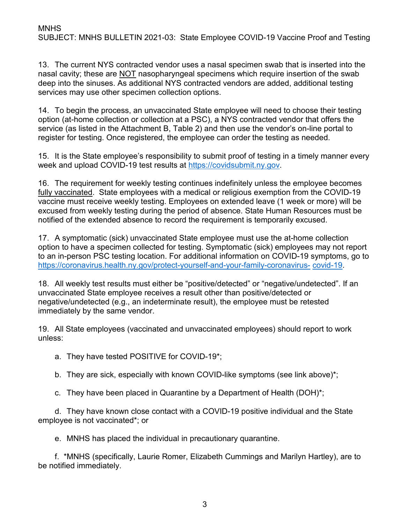13. The current NYS contracted vendor uses a nasal specimen swab that is inserted into the nasal cavity; these are NOT nasopharyngeal specimens which require insertion of the swab deep into the sinuses. As additional NYS contracted vendors are added, additional testing services may use other specimen collection options.

14. To begin the process, an unvaccinated State employee will need to choose their testing option (at-home collection or collection at a PSC), a NYS contracted vendor that offers the service (as listed in the Attachment B, Table 2) and then use the vendor's on-line portal to register for testing. Once registered, the employee can order the testing as needed.

15. It is the State employee's responsibility to submit proof of testing in a timely manner every week and upload COVID-19 test results at [https://covidsubmit.ny.gov.](https://covidsubmit.ny.gov/)

16. The requirement for weekly testing continues indefinitely unless the employee becomes fully vaccinated. State employees with a medical or religious exemption from the COVID-19 vaccine must receive weekly testing. Employees on extended leave (1 week or more) will be excused from weekly testing during the period of absence. State Human Resources must be notified of the extended absence to record the requirement is temporarily excused.

17. A symptomatic (sick) unvaccinated State employee must use the at-home collection option to have a specimen collected for testing. Symptomatic (sick) employees may not report to an in-person PSC testing location. For additional information on COVID-19 symptoms, go to [https://coronavirus.health.ny.gov/protect-yourself-and-your-family-coronavirus-](https://coronavirus.health.ny.gov/protect-yourself-and-your-family-coronavirus-covid-19) [covid-19.](https://coronavirus.health.ny.gov/protect-yourself-and-your-family-coronavirus-covid-19)

18. All weekly test results must either be "positive/detected" or "negative/undetected". If an unvaccinated State employee receives a result other than positive/detected or negative/undetected (e.g., an indeterminate result), the employee must be retested immediately by the same vendor.

19. All State employees (vaccinated and unvaccinated employees) should report to work unless:

a. They have tested POSITIVE for COVID-19\*;

b. They are sick, especially with known COVID-like symptoms (see link above)\*;

c. They have been placed in Quarantine by a Department of Health (DOH)\*;

d. They have known close contact with a COVID-19 positive individual and the State employee is not vaccinated\*; or

e. MNHS has placed the individual in precautionary quarantine.

f. \*MNHS (specifically, Laurie Romer, Elizabeth Cummings and Marilyn Hartley), are to be notified immediately.